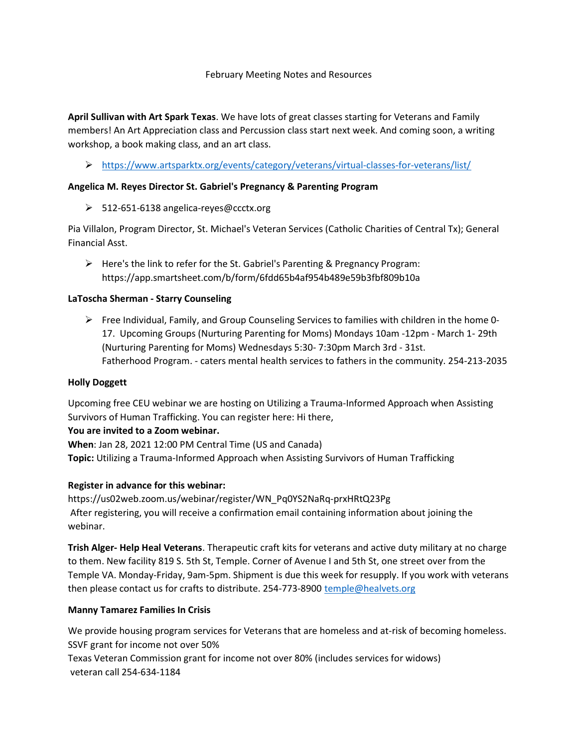#### February Meeting Notes and Resources

April Sullivan with Art Spark Texas. We have lots of great classes starting for Veterans and Family members! An Art Appreciation class and Percussion class start next week. And coming soon, a writing workshop, a book making class, and an art class.

## https://www.artsparktx.org/events/category/veterans/virtual-classes-for-veterans/list/

#### Angelica M. Reyes Director St. Gabriel's Pregnancy & Parenting Program

512-651-6138 angelica-reyes@ccctx.org

Pia Villalon, Program Director, St. Michael's Veteran Services (Catholic Charities of Central Tx); General Financial Asst.

 Here's the link to refer for the St. Gabriel's Parenting & Pregnancy Program: https://app.smartsheet.com/b/form/6fdd65b4af954b489e59b3fbf809b10a

### LaToscha Sherman - Starry Counseling

 $\triangleright$  Free Individual, Family, and Group Counseling Services to families with children in the home 0-17. Upcoming Groups (Nurturing Parenting for Moms) Mondays 10am -12pm - March 1- 29th (Nurturing Parenting for Moms) Wednesdays 5:30- 7:30pm March 3rd - 31st. Fatherhood Program. - caters mental health services to fathers in the community. 254-213-2035

#### Holly Doggett

Upcoming free CEU webinar we are hosting on Utilizing a Trauma-Informed Approach when Assisting Survivors of Human Trafficking. You can register here: Hi there,

#### You are invited to a Zoom webinar.

When: Jan 28, 2021 12:00 PM Central Time (US and Canada) Topic: Utilizing a Trauma-Informed Approach when Assisting Survivors of Human Trafficking

#### Register in advance for this webinar:

https://us02web.zoom.us/webinar/register/WN\_Pq0YS2NaRq-prxHRtQ23Pg After registering, you will receive a confirmation email containing information about joining the webinar.

Trish Alger- Help Heal Veterans. Therapeutic craft kits for veterans and active duty military at no charge to them. New facility 819 S. 5th St, Temple. Corner of Avenue I and 5th St, one street over from the Temple VA. Monday-Friday, 9am-5pm. Shipment is due this week for resupply. If you work with veterans then please contact us for crafts to distribute. 254-773-8900 temple@healvets.org

#### Manny Tamarez Families In Crisis

We provide housing program services for Veterans that are homeless and at-risk of becoming homeless. SSVF grant for income not over 50%

Texas Veteran Commission grant for income not over 80% (includes services for widows) veteran call 254-634-1184